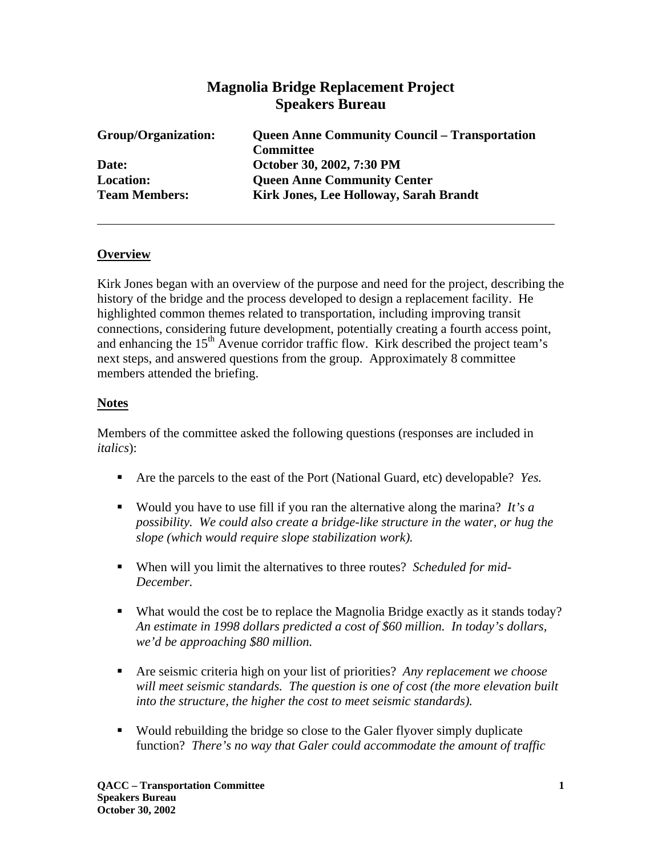# **Magnolia Bridge Replacement Project Speakers Bureau**

| Group/Organization:  | <b>Queen Anne Community Council – Transportation</b> |
|----------------------|------------------------------------------------------|
|                      | <b>Committee</b>                                     |
| Date:                | October 30, 2002, 7:30 PM                            |
| <b>Location:</b>     | <b>Queen Anne Community Center</b>                   |
| <b>Team Members:</b> | Kirk Jones, Lee Holloway, Sarah Brandt               |

#### **Overview**

Kirk Jones began with an overview of the purpose and need for the project, describing the history of the bridge and the process developed to design a replacement facility. He highlighted common themes related to transportation, including improving transit connections, considering future development, potentially creating a fourth access point, and enhancing the  $15<sup>th</sup>$  Avenue corridor traffic flow. Kirk described the project team's next steps, and answered questions from the group. Approximately 8 committee members attended the briefing.

#### **Notes**

Members of the committee asked the following questions (responses are included in *italics*):

- Are the parcels to the east of the Port (National Guard, etc) developable? *Yes.*
- Would you have to use fill if you ran the alternative along the marina? *It's a possibility. We could also create a bridge-like structure in the water, or hug the slope (which would require slope stabilization work).*
- When will you limit the alternatives to three routes? *Scheduled for mid-December.*
- What would the cost be to replace the Magnolia Bridge exactly as it stands today? *An estimate in 1998 dollars predicted a cost of \$60 million. In today's dollars, we'd be approaching \$80 million.*
- Are seismic criteria high on your list of priorities? Any replacement we choose *will meet seismic standards. The question is one of cost (the more elevation built into the structure, the higher the cost to meet seismic standards).*
- Would rebuilding the bridge so close to the Galer flyover simply duplicate function? *There's no way that Galer could accommodate the amount of traffic*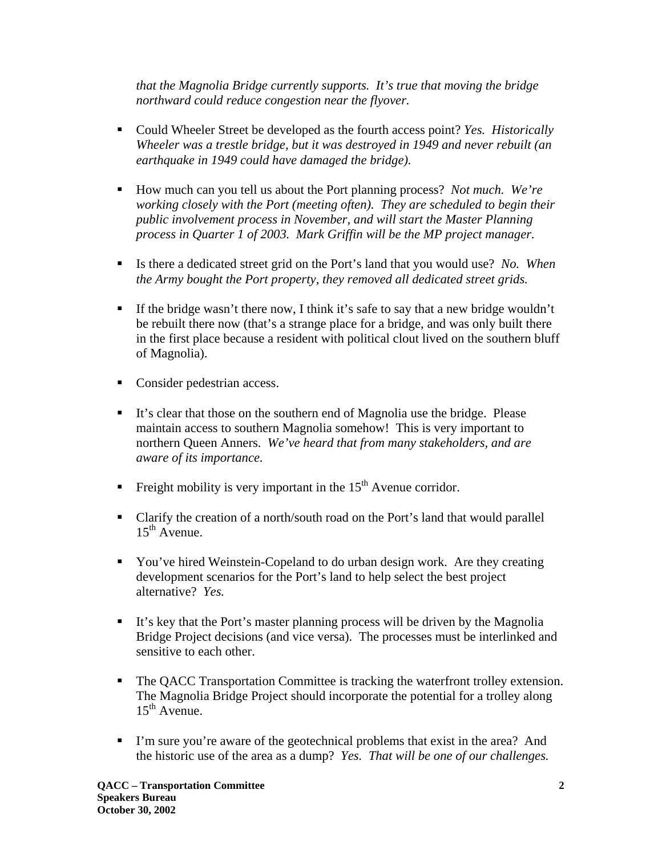*that the Magnolia Bridge currently supports. It's true that moving the bridge northward could reduce congestion near the flyover.*

- Could Wheeler Street be developed as the fourth access point? *Yes. Historically Wheeler was a trestle bridge, but it was destroyed in 1949 and never rebuilt (an earthquake in 1949 could have damaged the bridge).*
- How much can you tell us about the Port planning process? *Not much. We're working closely with the Port (meeting often). They are scheduled to begin their public involvement process in November, and will start the Master Planning process in Quarter 1 of 2003. Mark Griffin will be the MP project manager.*
- Is there a dedicated street grid on the Port's land that you would use? *No. When the Army bought the Port property, they removed all dedicated street grids.*
- If the bridge wasn't there now, I think it's safe to say that a new bridge wouldn't be rebuilt there now (that's a strange place for a bridge, and was only built there in the first place because a resident with political clout lived on the southern bluff of Magnolia).
- **Consider pedestrian access.**
- It's clear that those on the southern end of Magnolia use the bridge. Please maintain access to southern Magnolia somehow! This is very important to northern Queen Anners. *We've heard that from many stakeholders, and are aware of its importance.*
- Freight mobility is very important in the  $15<sup>th</sup>$  Avenue corridor.
- Clarify the creation of a north/south road on the Port's land that would parallel  $15<sup>th</sup>$  Avenue.
- You've hired Weinstein-Copeland to do urban design work. Are they creating development scenarios for the Port's land to help select the best project alternative? *Yes.*
- It's key that the Port's master planning process will be driven by the Magnolia Bridge Project decisions (and vice versa). The processes must be interlinked and sensitive to each other.
- The QACC Transportation Committee is tracking the waterfront trolley extension. The Magnolia Bridge Project should incorporate the potential for a trolley along  $15^{th}$  Avenue.
- I'm sure you're aware of the geotechnical problems that exist in the area? And the historic use of the area as a dump? *Yes. That will be one of our challenges.*